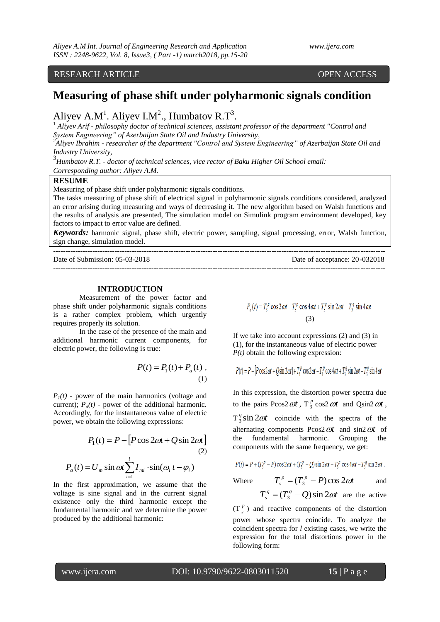# RESEARCH ARTICLE OPEN ACCESS

# **Measuring of phase shift under polyharmonic signals condition**

# Aliyev A.M<sup>1</sup>. Aliyev I.M<sup>2</sup>., Humbatov R.T<sup>3</sup>.

<sup>1</sup> *Aliyev Arif - philosophy doctor of technical sciences, assistant professor of the department "Control and System Engineering" of Azerbaijan State Oil and Industry University,* 

*<sup>2</sup>Aliyev Ibrahim - researcher of the department "Control and System Engineering" of Azerbaijan State Oil and Industry University,* 

3 *Humbatov R.T. - doctor of technical sciences, vice rector of Baku Higher Oil School email: Corresponding author: Aliyev A.M.*

#### **RESUME**

Measuring of phase shift under polyharmonic signals conditions.

The tasks measuring of phase shift of electrical signal in polyharmonic signals conditions considered, analyzed an error arising during measuring and ways of decreasing it. The new algorithm based on Walsh functions and the results of analysis are presented, The simulation model on Simulink program environment developed, key factors to impact to error value are defined.

*Keywords:* harmonic signal, phase shift, electric power, sampling, signal processing, error, Walsh function, sign change, simulation model. **---------------------------------------------------------------------------------------------------------------------------------------**

---------------------------------------------------------------------------------------------------------------------------------------

Date of Submission: 05-03-2018 Date of acceptance: 20-032018

# **INTRODUCTION**

Measurement of the power factor and phase shift under polyharmonic signals conditions is a rather complex problem, which urgently requires properly its solution.

In the case of the presence of the main and additional harmonic current components, for electric power, the following is true:

$$
P(t) = P_1(t) + P_a(t) ,
$$

$$
(1)
$$

 $P_1(t)$  - power of the main harmonics (voltage and current);  $P_a(t)$  - power of the additional harmonic. Accordingly, for the instantaneous value of electric power, we obtain the following expressions:

$$
P_1(t) = P - [P\cos 2\omega t + Q\sin 2\omega t]
$$
  
(2)  

$$
P_a(t) = U_m \sin \omega t \sum_{i=1}^{l} I_m \cdot \sin(\omega_i t - \varphi_i)
$$

In the first approximation, we assume that the voltage is sine signal and in the current signal existence only the third harmonic except the fundamental harmonic and we determine the power produced by the additional harmonic:

$$
P_a(t) = T_3^p \cos 2\omega t - T_3^p \cos 4\omega t + T_3^q \sin 2\omega t - T_3^q \sin 4\omega t
$$
  
(3)

If we take into account expressions (2) and (3) in (1), for the instantaneous value of electric power *P(t)* obtain the following expression:

$$
P(t) = P - [P\cos 2\alpha t + Q\sin 2\alpha t] + T_3^p \cos 2\alpha t - T_3^p \cos 4\alpha t + T_3^q \sin 2\alpha t - T_3^q \sin 4\alpha t
$$

In this expression, the distortion power spectra due to the pairs  $P\cos 2\omega t$ ,  $T_3^p$  $\int_3^p \cos 2\omega t$  and  $\int \sin 2\omega t$ ,  $T_3^q \sin 2\omega t$  $\frac{q}{3}$ sin 2 $\omega t$  coincide with the spectra of the alternating components  $P\cos 2\omega t$  and  $\sin 2\omega t$  of the fundamental harmonic. Grouping the components with the same frequency, we get:

$$
P(t) = P + (T_3^p - P)\cos 2\omega t + (T_3^q - Q)\sin 2\omega t - T_3^p \cos 4\omega t - T_3^q \sin 2\omega t.
$$

Where 
$$
T_s^p = (T_3^p - P)\cos 2\omega t
$$
 and  
 $T_s^q = (T_3^q - Q)\sin 2\omega t$  are the active

 $(T^p)$  $s<sup>p</sup>$ ) and reactive components of the distortion power whose spectra coincide. To analyze the coincident spectra for *l* existing cases, we write the expression for the total distortions power in the following form: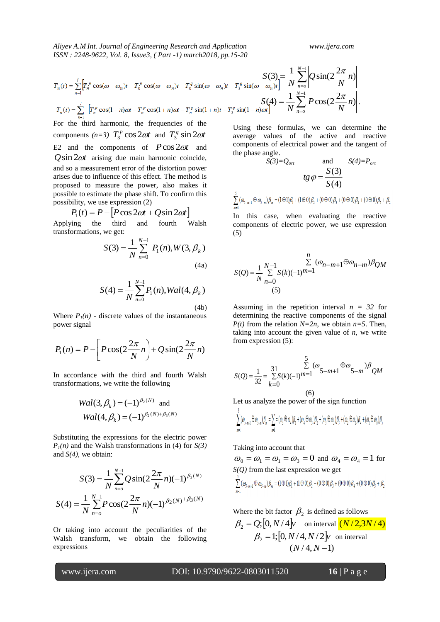$$
T_n(t) = \sum_{n=1}^{l} \left[ T_n^p \cos(\omega - \omega_n)t - T_n^p \cos(\omega - \omega_n)t - T_n^q \sin(\omega - \omega_n)t - T_3^q \sin(\omega - \omega_n)t \right] = \frac{1}{N} \sum_{n=0}^{N-1} \left[ Q \sin(2\frac{2\pi}{N}n) \right]
$$
  

$$
T_n(t) = \sum_{n=1}^{l} \left[ T_n^p \cos(1-n)\omega t - T_n^p \cos(1+n)\omega t - T_n^q \sin(1+n)t - T_3^q \sin(1-n)\omega t \right]
$$
  

$$
S(4) = \frac{1}{N} \sum_{n=0}^{N-1} \left[ P \cos(2\frac{2\pi}{N}n) \right].
$$

For the third harmonic, the frequencies of the components  $(n=3)$   $T_3^p \cos 2\omega t$  $T_3^p \cos 2\omega t$  and  $T_3^q \sin 2\omega t$  $\int_3^q \sin 2\omega$ E2 and the components of  $P\cos 2\omega t$  and  $Q\sin 2\omega t$  arising due main harmonic coincide, and so a measurement error of the distortion power arises due to influence of this effect. The method is proposed to measure the power, also makes it possible to estimate the phase shift. To confirm this possibility, we use expression (2)

$$
P_1(t) = P - [P\cos 2\omega t + Q\sin 2\omega t]
$$

Applying the third and fourth Walsh transformations, we get:

$$
S(3) = \frac{1}{N} \sum_{n=0}^{N-1} P_1(n), W(3, \beta_k)
$$
\n(4a)

$$
S(4) = \frac{1}{N} \sum_{n=0}^{N-1} P_1(n), Wal(4, \beta_k)
$$
\n(4b)

Where  $P_I(n)$  - discrete values of the instantaneous power signal

$$
P_1(n) = P - \left[ P \cos(2\frac{2\pi}{N}n) + Q \sin(2\frac{2\pi}{N}n) \right]
$$

In accordance with the third and fourth Walsh transformations, we write the following

$$
Wal(3, \beta_k) = (-1)^{\beta_2(N)} \text{ and}
$$
  
 
$$
Wal(4, \beta_k) = (-1)^{\beta_2(N) + \beta_3(N)}
$$

Substituting the expressions for the electric power  $P_1(n)$  and the Walsh transformations in (4) for  $S(3)$ and *S(4)*, we obtain:

$$
S(3) = \frac{1}{N} \sum_{n=0}^{N-1} Q \sin(2\frac{2\pi}{N}n)(-1)^{\beta_2(N)}
$$

$$
S(4) = \frac{1}{N} \sum_{n=0}^{N-1} P \cos(2\frac{2\pi}{N}n)(-1)^{\beta_2(N)^{\beta_3(N)}}
$$

Or taking into account the peculiarities of the Walsh transform, we obtain the following expressions

Using these formulas, we can determine the average values of the active and reactive components of electrical power and the tangent of the phase angle.

$$
S(3)=Q_{ort} \qquad \text{and} \qquad S(4)=P_{ort}
$$

$$
tg \varphi = \frac{S(3)}{S(4)}
$$

 $\sum_{m=1}^{3} (\omega_{3-m+1} \oplus \omega_{3-m}) \beta_m = (1 \oplus 1) \beta_1 + (1 \oplus 0) \beta_2 + (0 \oplus 0) \beta_3 + (0 \oplus 0) \beta_4 + (0 \oplus 0) \beta_5 + \beta_2$ 

In this case, when evaluating the reactive components of electric power, we use expression (5)

$$
S(Q) = \frac{1}{N} \sum_{n=0}^{N-1} S(k)(-1)^{n} = 1^{n} (\omega_{n-m+1} \oplus \omega_{n-m}) \beta_{QM}
$$
  
(5)

Assuming in the repetition interval  $n = 32$  for determining the reactive components of the signal *P(t)* from the relation  $N=2n$ , we obtain  $n=5$ . Then, taking into account the given value of  $n$ , we write from expression (5):

$$
S(Q) = \frac{1}{32} = \frac{31}{\sum_{k=0}^{31} S(k)(-1)^{m=1}} \sum_{k=0}^{5} (\omega_{5-m+1} \oplus \omega_{5-m}) \beta_{QM}
$$

(6)

Let us analyze the power of the sign function

$$
\sum_{n=1}^r(\mathcal{O}_{\mathbf{5}-m+1}\oplus\mathcal{O}_{\mathbf{5}-n})\beta_n=\sum_{n=1}^r=(\mathcal{O}_{\mathbf{5}}\oplus\mathcal{O}_{\mathbf{4}})\beta_1+(\mathcal{O}_{\mathbf{4}}\oplus\mathcal{O}_{\mathbf{3}})\beta_2+(\mathcal{O}_{\mathbf{5}}\oplus\mathcal{O}_{\mathbf{2}})\beta_3+(\mathcal{O}_{\mathbf{2}}\oplus\mathcal{O}_{\mathbf{1}})\beta_4+(\mathcal{O}_{\mathbf{1}}\oplus\mathcal{O}_{\mathbf{0}})\beta_5
$$

# Taking into account that

 $\mathcal{R}$ 

 $\omega_0 = \omega_1 = \omega_1 = \omega_3 = 0$  and  $\omega_4 = \omega_4 = 1$  for *S(Q)* from the last expression we get

$$
\sum_{m=1} (\omega_{3-m+1} \oplus \omega_{3-m}) \beta_m = (1 \oplus 1) \beta_1 + (1 \oplus 0) \beta_2 + (0 \oplus 0) \beta_3 + (0 \oplus 0) \beta_4 + (0 \oplus 0) \beta_5 + \beta_2
$$

Where the bit factor  $\beta_2$  is defined as follows

$$
\beta_2 = Q; [0, N/4]v \text{ on interval } (N/2, 3N/4)
$$
  

$$
\beta_2 = 1; [0, N/4, N/2]v \text{ on interval}
$$
  

$$
(N/4, N-1)
$$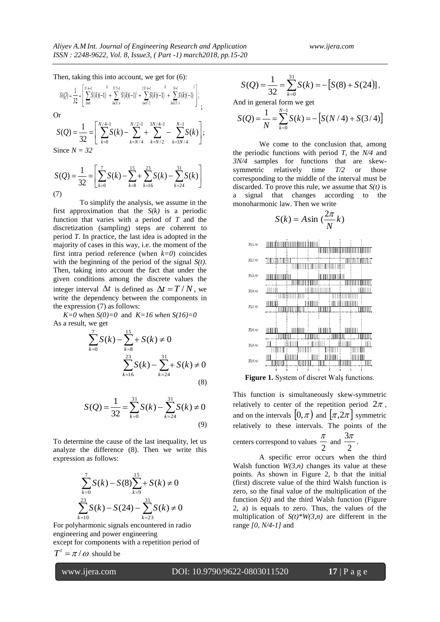Then, taking this into account, we get for (6):

$$
S(Q) = \frac{1}{32} = \left[ \sum_{k=0}^{N/4-1} S(k)(-1) + \sum_{k=N/4}^{0} S(k)(-1) + \sum_{k=N/2}^{13N/4-1} S(k)(-1) + \sum_{k=3N/4}^{0} S(k)(-1) \right];
$$
  
Or

$$
S(Q) = \frac{1}{32} = \left[ \sum_{k=0}^{N/4-1} S(k) - \sum_{k=N/4}^{N/2-1} + \sum_{k=N/2}^{3N/4-1} - \sum_{k=3N/4}^{N-1} S(k) \right];
$$

Since *N = 32*

$$
S(Q) = \frac{1}{32} = \left[ \sum_{k=0}^{7} S(k) - \sum_{k=8}^{15} \sum_{k=16}^{23} S(k) - \sum_{k=24}^{31} S(k) \right]
$$
  
(7)

To simplify the analysis, we assume in the first approximation that the *S(k)* is a periodic function that varies with a period of *T* and the discretization (sampling) steps are coherent to period *T*. In practice, the last idea is adopted in the majority of cases in this way, i.e. the moment of the first intra period reference (when *k=0*) coincides with the beginning of the period of the signal *S(t)*. Then, taking into account the fact that under the given conditions among the discrete values the integer interval  $\Delta t$  is defined as  $\Delta t = T/N$ , we write the dependency between the components in the expression (7) as follows:

*K*=0 when *S*(0)=0 and *K*=16 when *S*(16)=0 As a result, we get

$$
\sum_{k=0}^{7} S(k) - \sum_{k=8}^{15} + S(k) \neq 0
$$
  

$$
\sum_{k=16}^{23} S(k) - \sum_{k=24}^{31} + S(k) \neq 0
$$
 (8)

$$
S(Q) = \frac{1}{32} = \sum_{k=0}^{31} S(k) - \sum_{k=24}^{31} S(k) \neq 0
$$
\n(9)

To determine the cause of the last inequality, let us analyze the difference (8). Then we write this expression as follows:

$$
\sum_{k=0}^{7} S(k) - S(8) \sum_{k=9}^{15} + S(k) \neq 0
$$
  

$$
\sum_{k=10}^{23} S(k) - S(24) - \sum_{k=23}^{31} S(k) \neq 0
$$

For polyharmonic signals encountered in radio engineering and power engineering except for components with a repetition period of  $T^t = \pi/\omega$  should be

$$
S(Q) = \frac{1}{32} = \sum_{k=0}^{31} S(k) = -[S(8) + S(24)],
$$

And in general form we get

$$
S(Q) = \frac{1}{N} = \sum_{k=0}^{N-1} S(k) = -[S(N/4) + S(3/4)]
$$

We come to the conclusion that, among the periodic functions with period *T*, the *N/4* and *3N/4* samples for functions that are skewsymmetric relatively time *T/2* or those corresponding to the middle of the interval must be discarded. To prove this rule, we assume that  $S(t)$  is a signal that changes according to the monoharmonic law. Then we write

$$
S(k) = A \sin\left(\frac{2\pi}{N}k\right)
$$





This function is simultaneously skew-symmetric relatively to center of the repetition period  $2\pi$ , and on the intervals  $(0, \pi)$  and  $(\pi, 2\pi)$  symmetric relatively to these intervals. The points of the centers correspond to values  $\frac{3\pi}{4}$ .

2  $rac{\pi}{2}$  and  $rac{3\pi}{2}$ A specific error occurs when the third Walsh function  $W(3,n)$  changes its value at these points. As shown in Figure 2, b that the initial (first) discrete value of the third Walsh function is zero, so the final value of the multiplication of the function  $S(t)$  and the third Walsh function (Figure 2, a) is equals to zero. Thus, the values of the multiplication of  $S(t)*W(3,n)$  are different in the

range *[0, N/4-1]* and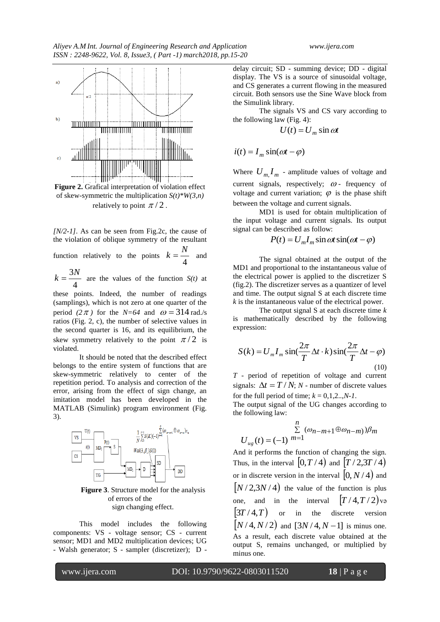

**Figure 2.** Grafical interpretation of violation effect of skew-symmetric the multiplication  $S(t)$ <sup>\*</sup> $W(3,n)$ relatively to point  $\pi/2$ .

*[N/2-1]*. As can be seen from Fig.2c, the cause of the violation of oblique symmetry of the resultant *N*

function relatively to the points 
$$
k = \frac{N}{4}
$$
 and

4  $k = \frac{3N}{l}$  are the values of the function *S(t)* at

these points. Indeed, the number of readings (samplings), which is not zero at one quarter of the period (2 $\pi$ ) for the *N*=64 and  $\omega$  = 314 rad./s ratios (Fig. 2, c), the number of selective values in the second quarter is 16, and its equilibrium, the skew symmetry relatively to the point  $\pi/2$  is violated.

It should be noted that the described effect belongs to the entire system of functions that are skew-symmetric relatively to center of the repetition period. To analysis and correction of the error, arising from the effect of sign change, an imitation model has been developed in the MATLAB (Simulink) program environment (Fig. 3).



**Figure 3**. Structure model for the analysis of errors of the sign changing effect.

This model includes the following components: VS - voltage sensor; CS - current sensor; MD1 and MD2 multiplication devices; UG - Walsh generator; S - sampler (discretizer); D -

delay circuit; SD - summing device; DD - digital display. The VS is a source of sinusoidal voltage, and CS generates a current flowing in the measured circuit. Both sensors use the Sine Wave block from the Simulink library.

The signals VS and CS vary according to the following law (Fig. 4):

$$
U(t) = U_m \sin \omega t
$$

 $i(t) = I_m \sin(\omega t - \varphi)$ 

Where  $U_{m}I_{m}$  - amplitude values of voltage and current signals, respectively;  $\omega$  - frequency of voltage and current variation;  $\varphi$  is the phase shift between the voltage and current signals.

MD1 is used for obtain multiplication of the input voltage and current signals. Its output signal can be described as follow:

$$
P(t) = U_m I_m \sin \omega t \sin(\omega t - \varphi)
$$

The signal obtained at the output of the MD1 and proportional to the instantaneous value of the electrical power is applied to the discretizer S (fig.2). The discretizer serves as a quantizer of level and time. The output signal S at each discrete time *k* is the instantaneous value of the electrical power.

The output signal S at each discrete time *k* is mathematically described by the following expression:

$$
S(k) = U_m I_m \sin(\frac{2\pi}{T} \Delta t \cdot k) \sin(\frac{2\pi}{T} \Delta t - \varphi)
$$
\n(10)

*T* - period of repetition of voltage and current signals:  $\Delta t = T / N$ ; *N* - number of discrete values for the full period of time;  $k = 0,1,2...N-1$ .

The output signal of the UG changes according to the following law:

$$
\sum_{m=1}^{n} (\omega_{n-m+1} \oplus \omega_{n-m}) \beta_m
$$
  

$$
U_{ug}(t) = (-1)^{n} = 1
$$

And it performs the function of changing the sign. Thus, in the interval  $[0, T/4)$  and  $[T/2, 3T/4]$ or in discrete version in the interval  $(0, N/4)$  and  $(N/2,3N/4)$  the value of the function is plus one, and in the interval  $[T/4, T/2]$  va  $(3T/4,T)$  or in the discrete version  $[N/4, N/2]$  and  $[3N/4, N-1]$  is minus one. As a result, each discrete value obtained at the output S, remains unchanged, or multiplied by minus one.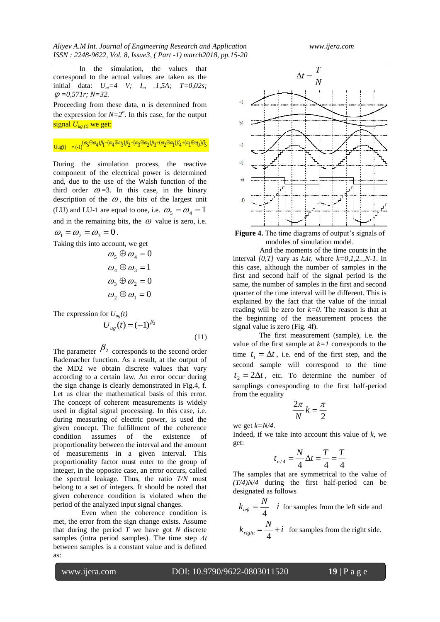*Aliyev A.M Int. Journal of Engineering Research and Application www.ijera.com ISSN : 2248-9622, Vol. 8, Issue3, ( Part -1) march2018, pp.15-20*

In the simulation, the values that correspond to the actual values are taken as the initial data:  $U_m = 4$  *V;*  $I_m = 1,5A$ ;  $T = 0,02s$ ; *=0,571r; N=32.*

Proceeding from these data, n is determined from the expression for  $N=2^n$ . In this case, for the output signal  $U_{\mu\varrho(t)}$  we get:

$$
\underline{\text{Uug}}(t) = (-1)^{(\omega_5 \oplus \omega_4) \beta_1 + (\omega_4 \oplus \omega_3) \beta_2 + (\omega_3 \oplus \omega_2) \beta_3 + (\omega_2 \oplus \omega_1) \beta_4 + (\omega_1 \oplus \omega_0) \beta_5}
$$

During the simulation process, the reactive component of the electrical power is determined and, due to the use of the Walsh function of the third order  $\omega = 3$ . In this case, in the binary description of the  $\omega$ , the bits of the largest unit (LU) and LU-1 are equal to one, i.e.  $\omega_5 = \omega_4 = 1$ and in the remaining bits, the  $\omega$  value is zero, i.e.  $\omega_1 = \omega_2 = \omega_3 = 0$ .

Taking this into account, we get

$$
\omega_5 \oplus \omega_4 = 0
$$
  
\n
$$
\omega_4 \oplus \omega_3 = 1
$$
  
\n
$$
\omega_3 \oplus \omega_2 = 0
$$
  
\n
$$
\omega_2 \oplus \omega_1 = 0
$$

The expression for  $U_{\mu\rho}(t)$ 

$$
U_{ug}(t) = (-1)^{\beta_2}
$$
\n(11)

The parameter  $\beta_2$  corresponds to the second order Rademacher function. As a result, at the output of the MD2 we obtain discrete values that vary according to a certain law. An error occur during the sign change is clearly demonstrated in Fig.4, f. Let us clear the mathematical basis of this error. The concept of coherent measurements is widely used in digital signal processing. In this case, i.e. during measuring of electric power, is used the given concept. The fulfillment of the coherence condition assumes of the existence of proportionality between the interval and the amount of measurements in a given interval. This proportionality factor must enter to the group of integer, in the opposite case, an error occurs, called the spectral leakage. Thus, the ratio *T/N* must belong to a set of integers. It should be noted that given coherence condition is violated when the period of the analyzed input signal changes.

Even when the coherence condition is met, the error from the sign change exists. Assume that during the period  $T$  we have got  $N$  discrete samples (intra period samples). The time step *Δt* between samples is a constant value and is defined as:



**Figure 4.** The time diagrams of output's signals of modules of simulation model.

And the moments of the time counts in the interval *[0,T]* vary as *kΔt,* where *k=0,1,2..,N-1*. In this case, although the number of samples in the first and second half of the signal period is the same, the number of samples in the first and second quarter of the time interval will be different. This is explained by the fact that the value of the initial reading will be zero for  $k=0$ . The reason is that at the beginning of the measurement process the signal value is zero (Fig. 4f).

The first measurement (sample), i.e. the value of the first sample at  $k=1$  corresponds to the time  $t_1 = \Delta t$ , i.e. end of the first step, and the second sample will correspond to the time  $t_2 = 2\Delta t$ , etc. To determine the number of samplings corresponding to the first half-period from the equality

$$
\frac{2\pi}{N}k = \frac{\pi}{2}
$$

we get *k=N/4*.

Indeed, if we take into account this value of  $k$ , we get:

$$
t_{n/4} = \frac{N}{4} \Delta t = \frac{T}{4} = \frac{T}{4}
$$

The samples that are symmetrical to the value of *(T/4)N/4* during the first half-period can be designated as follows

 $k_{left} = \frac{N}{4} - i$  for samples from the left side and

 $k_{right} = \frac{N}{4} + i$  for samples from the right side.